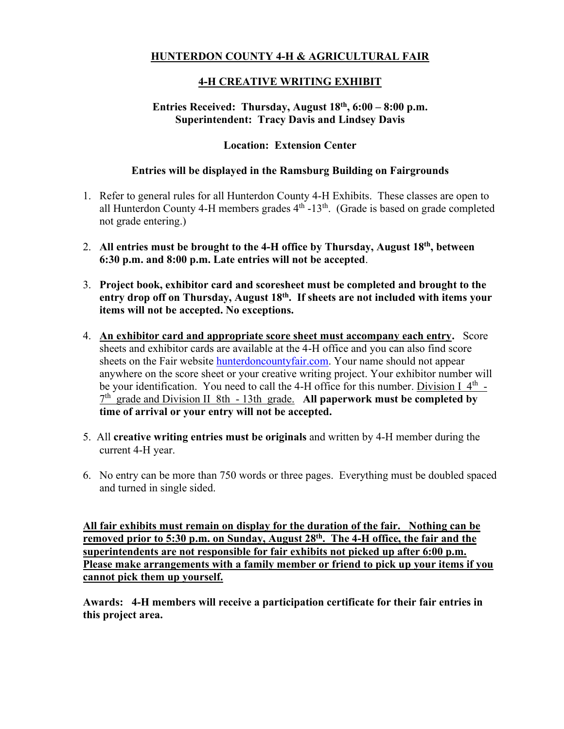# **HUNTERDON COUNTY 4-H & AGRICULTURAL FAIR**

### **4-H CREATIVE WRITING EXHIBIT**

### **Entries Received: Thursday, August 18 th , 6:00 – 8:00 p.m. Superintendent: Tracy Davis and Lindsey Davis**

### **Location: Extension Center**

#### **Entries will be displayed in the Ramsburg Building on Fairgrounds**

- 1. Refer to general rules for all Hunterdon County 4-H Exhibits. These classes are open to all Hunterdon County 4-H members grades  $4<sup>th</sup>$  -13<sup>th</sup>. (Grade is based on grade completed not grade entering.)
- 2. **All entries must be brought to the 4-H office by Thursday, August 18 th, between 6:30 p.m. and 8:00 p.m. Late entries will not be accepted**.
- 3. **Project book, exhibitor card and scoresheet must be completed and brought to the**  entry drop off on Thursday, August 18<sup>th</sup>. If sheets are not included with items your **items will not be accepted. No exceptions.**
- 4. **An exhibitor card and appropriate score sheet must accompany each entry.** Score sheets and exhibitor cards are available at the 4-H office and you can also find score sheets on the Fair website hunterdoncountyfair.com. Your name should not appear anywhere on the score sheet or your creative writing project. Your exhibitor number will be your identification. You need to call the 4-H office for this number. Division I 4<sup>th</sup> -7 th grade and Division II 8th - 13th grade. **All paperwork must be completed by time of arrival or your entry will not be accepted.**
- 5. All **creative writing entries must be originals** and written by 4-H member during the current 4-H year.
- 6. No entry can be more than 750 words or three pages. Everything must be doubled spaced and turned in single sided.

**All fair exhibits must remain on display for the duration of the fair. Nothing can be removed prior to 5:30 p.m. on Sunday, August 28th . The 4-H office, the fair and the superintendents are not responsible for fair exhibits not picked up after 6:00 p.m. Please make arrangements with a family member or friend to pick up your items if you cannot pick them up yourself.**

**Awards: 4-H members will receive a participation certificate for their fair entries in this project area.**